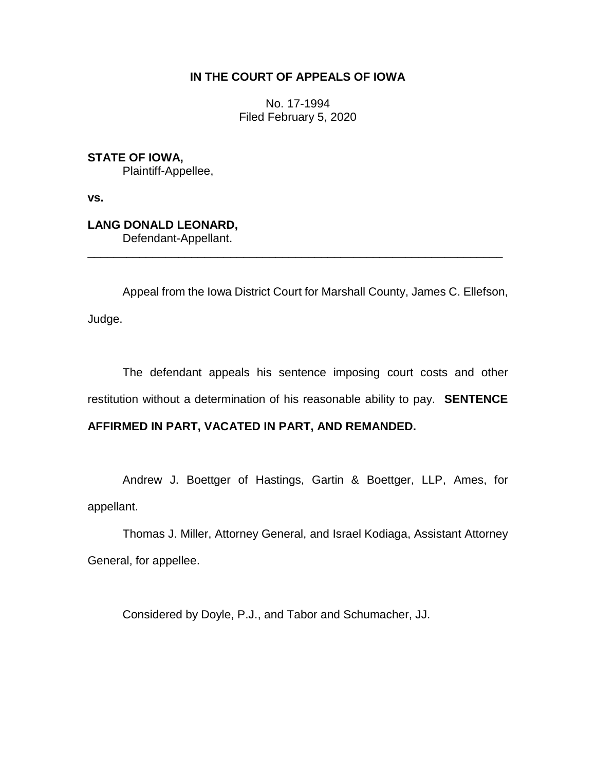## **IN THE COURT OF APPEALS OF IOWA**

No. 17-1994 Filed February 5, 2020

**STATE OF IOWA,** Plaintiff-Appellee,

**vs.**

**LANG DONALD LEONARD,** Defendant-Appellant.

Appeal from the Iowa District Court for Marshall County, James C. Ellefson, Judge.

\_\_\_\_\_\_\_\_\_\_\_\_\_\_\_\_\_\_\_\_\_\_\_\_\_\_\_\_\_\_\_\_\_\_\_\_\_\_\_\_\_\_\_\_\_\_\_\_\_\_\_\_\_\_\_\_\_\_\_\_\_\_\_\_

The defendant appeals his sentence imposing court costs and other restitution without a determination of his reasonable ability to pay. **SENTENCE** 

## **AFFIRMED IN PART, VACATED IN PART, AND REMANDED.**

Andrew J. Boettger of Hastings, Gartin & Boettger, LLP, Ames, for appellant.

Thomas J. Miller, Attorney General, and Israel Kodiaga, Assistant Attorney General, for appellee.

Considered by Doyle, P.J., and Tabor and Schumacher, JJ.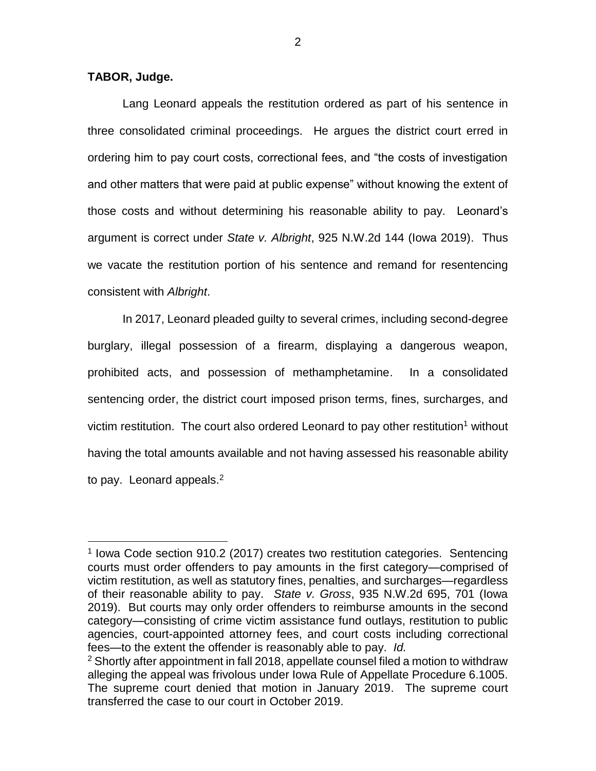## **TABOR, Judge.**

 $\overline{a}$ 

Lang Leonard appeals the restitution ordered as part of his sentence in three consolidated criminal proceedings. He argues the district court erred in ordering him to pay court costs, correctional fees, and "the costs of investigation and other matters that were paid at public expense" without knowing the extent of those costs and without determining his reasonable ability to pay. Leonard's argument is correct under *State v. Albright*, 925 N.W.2d 144 (Iowa 2019). Thus we vacate the restitution portion of his sentence and remand for resentencing consistent with *Albright*.

In 2017, Leonard pleaded guilty to several crimes, including second-degree burglary, illegal possession of a firearm, displaying a dangerous weapon, prohibited acts, and possession of methamphetamine. In a consolidated sentencing order, the district court imposed prison terms, fines, surcharges, and victim restitution. The court also ordered Leonard to pay other restitution<sup>1</sup> without having the total amounts available and not having assessed his reasonable ability to pay. Leonard appeals. $2$ 

<sup>&</sup>lt;sup>1</sup> Iowa Code section 910.2 (2017) creates two restitution categories. Sentencing courts must order offenders to pay amounts in the first category—comprised of victim restitution, as well as statutory fines, penalties, and surcharges—regardless of their reasonable ability to pay. *State v. Gross*, 935 N.W.2d 695, 701 (Iowa 2019). But courts may only order offenders to reimburse amounts in the second category—consisting of crime victim assistance fund outlays, restitution to public agencies, court-appointed attorney fees, and court costs including correctional fees—to the extent the offender is reasonably able to pay. *Id.*

 $2$  Shortly after appointment in fall 2018, appellate counsel filed a motion to withdraw alleging the appeal was frivolous under Iowa Rule of Appellate Procedure 6.1005. The supreme court denied that motion in January 2019. The supreme court transferred the case to our court in October 2019.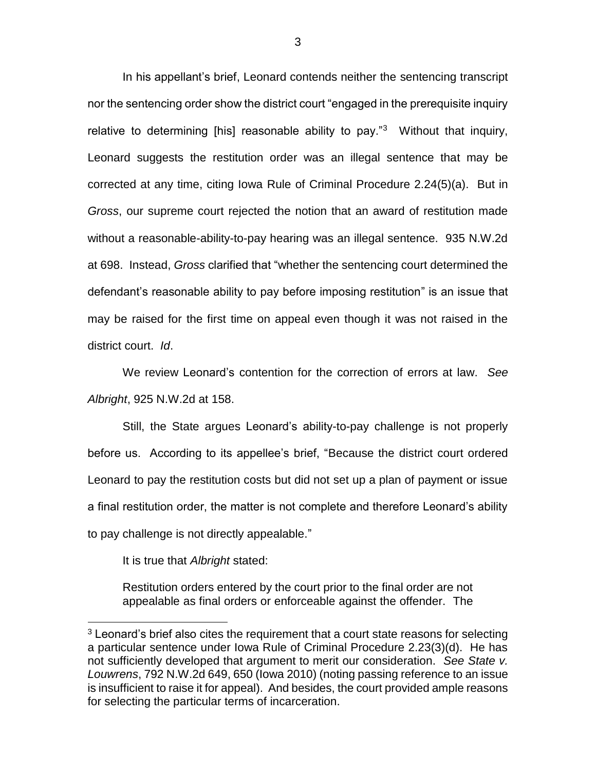In his appellant's brief, Leonard contends neither the sentencing transcript nor the sentencing order show the district court "engaged in the prerequisite inquiry relative to determining [his] reasonable ability to pay."<sup>3</sup> Without that inquiry, Leonard suggests the restitution order was an illegal sentence that may be corrected at any time, citing Iowa Rule of Criminal Procedure 2.24(5)(a). But in *Gross*, our supreme court rejected the notion that an award of restitution made without a reasonable-ability-to-pay hearing was an illegal sentence. 935 N.W.2d at 698. Instead, *Gross* clarified that "whether the sentencing court determined the defendant's reasonable ability to pay before imposing restitution" is an issue that may be raised for the first time on appeal even though it was not raised in the district court. *Id*.

We review Leonard's contention for the correction of errors at law. *See Albright*, 925 N.W.2d at 158.

Still, the State argues Leonard's ability-to-pay challenge is not properly before us. According to its appellee's brief, "Because the district court ordered Leonard to pay the restitution costs but did not set up a plan of payment or issue a final restitution order, the matter is not complete and therefore Leonard's ability to pay challenge is not directly appealable."

It is true that *Albright* stated:

 $\overline{a}$ 

Restitution orders entered by the court prior to the final order are not appealable as final orders or enforceable against the offender. The

<sup>&</sup>lt;sup>3</sup> Leonard's brief also cites the requirement that a court state reasons for selecting a particular sentence under Iowa Rule of Criminal Procedure 2.23(3)(d). He has not sufficiently developed that argument to merit our consideration. *See State v. Louwrens*, 792 N.W.2d 649, 650 (Iowa 2010) (noting passing reference to an issue is insufficient to raise it for appeal). And besides, the court provided ample reasons for selecting the particular terms of incarceration.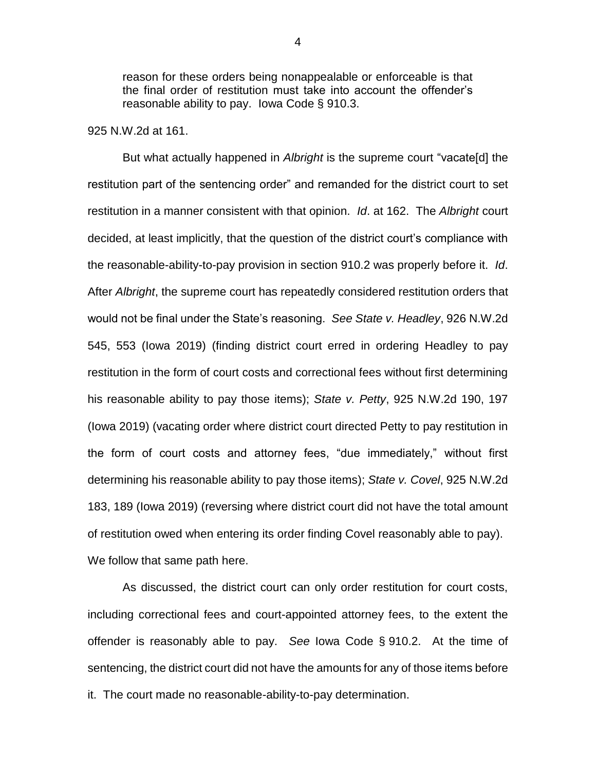reason for these orders being nonappealable or enforceable is that the final order of restitution must take into account the offender's reasonable ability to pay. Iowa Code § 910.3.

## 925 N.W.2d at 161.

But what actually happened in *Albright* is the supreme court "vacate[d] the restitution part of the sentencing order" and remanded for the district court to set restitution in a manner consistent with that opinion. *Id*. at 162. The *Albright* court decided, at least implicitly, that the question of the district court's compliance with the reasonable-ability-to-pay provision in section 910.2 was properly before it. *Id*. After *Albright*, the supreme court has repeatedly considered restitution orders that would not be final under the State's reasoning. *See State v. Headley*, 926 N.W.2d 545, 553 (Iowa 2019) (finding district court erred in ordering Headley to pay restitution in the form of court costs and correctional fees without first determining his reasonable ability to pay those items); *State v. Petty*, 925 N.W.2d 190, 197 (Iowa 2019) (vacating order where district court directed Petty to pay restitution in the form of court costs and attorney fees, "due immediately," without first determining his reasonable ability to pay those items); *State v. Covel*, 925 N.W.2d 183, 189 (Iowa 2019) (reversing where district court did not have the total amount of restitution owed when entering its order finding Covel reasonably able to pay). We follow that same path here.

As discussed, the district court can only order restitution for court costs, including correctional fees and court-appointed attorney fees, to the extent the offender is reasonably able to pay. *See* Iowa Code § 910.2. At the time of sentencing, the district court did not have the amounts for any of those items before it. The court made no reasonable-ability-to-pay determination.